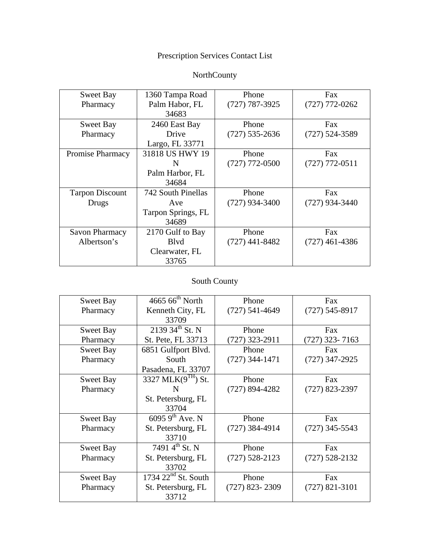## Prescription Services Contact List

## NorthCounty

| Sweet Bay              | 1360 Tampa Road    | Phone            | <b>Fax</b>         |
|------------------------|--------------------|------------------|--------------------|
| Pharmacy               | Palm Habor, FL     | $(727)$ 787-3925 | $(727)$ 772-0262   |
|                        | 34683              |                  |                    |
| <b>Sweet Bay</b>       | 2460 East Bay      | Phone            | Fax                |
| Pharmacy               | Drive              | $(727)$ 535-2636 | $(727) 524 - 3589$ |
|                        | Largo, FL 33771    |                  |                    |
| Promise Pharmacy       | 31818 US HWY 19    | Phone            | <b>Fax</b>         |
|                        | N                  | $(727)$ 772-0500 | $(727)$ 772-0511   |
|                        | Palm Harbor, FL    |                  |                    |
|                        | 34684              |                  |                    |
| <b>Tarpon Discount</b> | 742 South Pinellas | Phone            | Fax                |
| Drugs                  | Ave                | $(727)$ 934-3400 | $(727)$ 934-3440   |
|                        | Tarpon Springs, FL |                  |                    |
|                        | 34689              |                  |                    |
| <b>Savon Pharmacy</b>  | 2170 Gulf to Bay   | Phone            | <b>Fax</b>         |
| Albertson's            | <b>B</b> lvd       | $(727)$ 441-8482 | $(727)$ 461-4386   |
|                        | Clearwater, FL     |                  |                    |
|                        | 33765              |                  |                    |

## South County

| <b>Sweet Bay</b> | $4665~66^{\text{th}}$ North | Phone              | Fax              |
|------------------|-----------------------------|--------------------|------------------|
| Pharmacy         | Kenneth City, FL            | $(727) 541 - 4649$ | $(727)$ 545-8917 |
|                  | 33709                       |                    |                  |
| <b>Sweet Bay</b> | 2139 34 <sup>th</sup> St. N | Phone              | Fax              |
| Pharmacy         | St. Pete, FL 33713          | (727) 323-2911     | $(727)$ 323-7163 |
| Sweet Bay        | 6851 Gulfport Blvd.         | Phone              | Fax              |
| Pharmacy         | South                       | $(727)$ 344-1471   | $(727)$ 347-2925 |
|                  | Pasadena, FL 33707          |                    |                  |
| Sweet Bay        | 3327 MLK(9TH) St.           | Phone              | Fax              |
| Pharmacy         | N                           | $(727)$ 894-4282   | $(727)$ 823-2397 |
|                  | St. Petersburg, FL          |                    |                  |
|                  | 33704                       |                    |                  |
| <b>Sweet Bay</b> | $60959^{\text{th}}$ Ave. N  | Phone              | Fax              |
| Pharmacy         | St. Petersburg, FL          | $(727)$ 384-4914   | $(727)$ 345-5543 |
|                  | 33710                       |                    |                  |
| Sweet Bay        | 7491 $4^{th}$ St. N         | Phone              | Fax              |
| Pharmacy         | St. Petersburg, FL          | $(727)$ 528-2123   | $(727)$ 528-2132 |
|                  | 33702                       |                    |                  |
| <b>Sweet Bay</b> | $1734$ $22nd$ St. South     | Phone              | Fax              |
| Pharmacy         | St. Petersburg, FL          | $(727)$ 823-2309   | $(727)$ 821-3101 |
|                  | 33712                       |                    |                  |